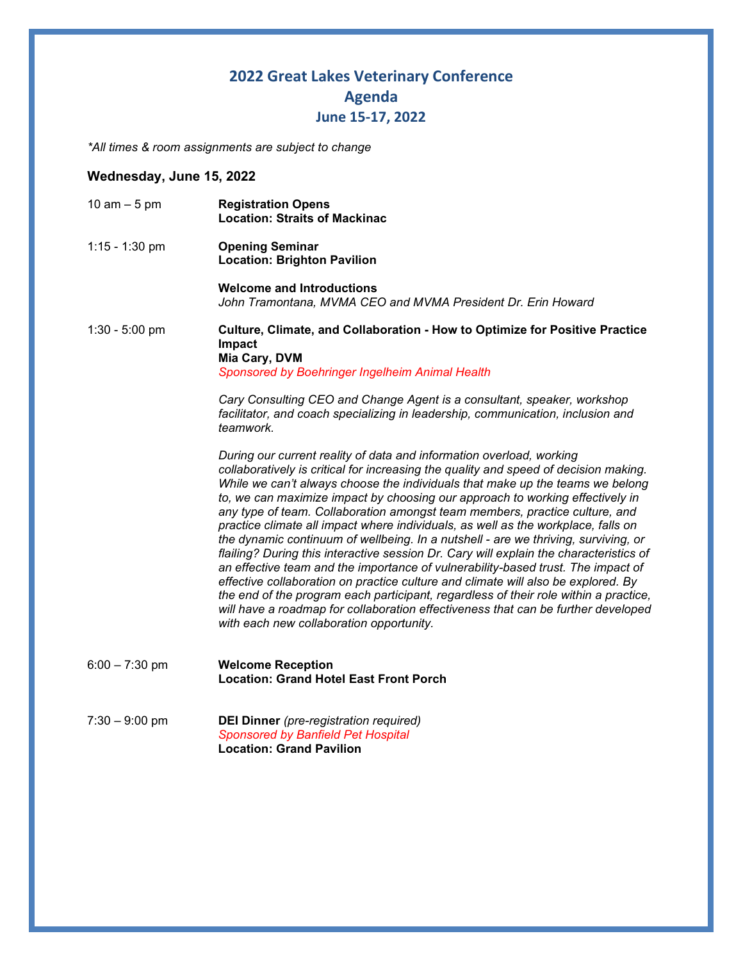## **2022 Great Lakes Veterinary Conference Agenda June 15-17, 2022**

*\*All times & room assignments are subject to change*

## **Wednesday, June 15, 2022**

| 10 am $-5$ pm    | <b>Registration Opens</b><br><b>Location: Straits of Mackinac</b>                                                                                                                                                                                                                                                                                                                                                                                                                                                                                                                                                                                                                                                                                                                                                                                                                                                                                                                                                                                                                    |
|------------------|--------------------------------------------------------------------------------------------------------------------------------------------------------------------------------------------------------------------------------------------------------------------------------------------------------------------------------------------------------------------------------------------------------------------------------------------------------------------------------------------------------------------------------------------------------------------------------------------------------------------------------------------------------------------------------------------------------------------------------------------------------------------------------------------------------------------------------------------------------------------------------------------------------------------------------------------------------------------------------------------------------------------------------------------------------------------------------------|
| $1:15 - 1:30$ pm | <b>Opening Seminar</b><br><b>Location: Brighton Pavilion</b>                                                                                                                                                                                                                                                                                                                                                                                                                                                                                                                                                                                                                                                                                                                                                                                                                                                                                                                                                                                                                         |
|                  | <b>Welcome and Introductions</b><br>John Tramontana, MVMA CEO and MVMA President Dr. Erin Howard                                                                                                                                                                                                                                                                                                                                                                                                                                                                                                                                                                                                                                                                                                                                                                                                                                                                                                                                                                                     |
| $1:30 - 5:00$ pm | Culture, Climate, and Collaboration - How to Optimize for Positive Practice<br>Impact<br>Mia Cary, DVM<br>Sponsored by Boehringer Ingelheim Animal Health                                                                                                                                                                                                                                                                                                                                                                                                                                                                                                                                                                                                                                                                                                                                                                                                                                                                                                                            |
|                  | Cary Consulting CEO and Change Agent is a consultant, speaker, workshop<br>facilitator, and coach specializing in leadership, communication, inclusion and<br>teamwork.                                                                                                                                                                                                                                                                                                                                                                                                                                                                                                                                                                                                                                                                                                                                                                                                                                                                                                              |
|                  | During our current reality of data and information overload, working<br>collaboratively is critical for increasing the quality and speed of decision making.<br>While we can't always choose the individuals that make up the teams we belong<br>to, we can maximize impact by choosing our approach to working effectively in<br>any type of team. Collaboration amongst team members, practice culture, and<br>practice climate all impact where individuals, as well as the workplace, falls on<br>the dynamic continuum of wellbeing. In a nutshell - are we thriving, surviving, or<br>flailing? During this interactive session Dr. Cary will explain the characteristics of<br>an effective team and the importance of vulnerability-based trust. The impact of<br>effective collaboration on practice culture and climate will also be explored. By<br>the end of the program each participant, regardless of their role within a practice,<br>will have a roadmap for collaboration effectiveness that can be further developed<br>with each new collaboration opportunity. |
| $6:00 - 7:30$ pm | <b>Welcome Reception</b><br><b>Location: Grand Hotel East Front Porch</b>                                                                                                                                                                                                                                                                                                                                                                                                                                                                                                                                                                                                                                                                                                                                                                                                                                                                                                                                                                                                            |
| $7:30 - 9:00$ pm | <b>DEI Dinner</b> (pre-registration required)<br>Sponsored by Banfield Pet Hospital<br><b>Location: Grand Pavilion</b>                                                                                                                                                                                                                                                                                                                                                                                                                                                                                                                                                                                                                                                                                                                                                                                                                                                                                                                                                               |
|                  |                                                                                                                                                                                                                                                                                                                                                                                                                                                                                                                                                                                                                                                                                                                                                                                                                                                                                                                                                                                                                                                                                      |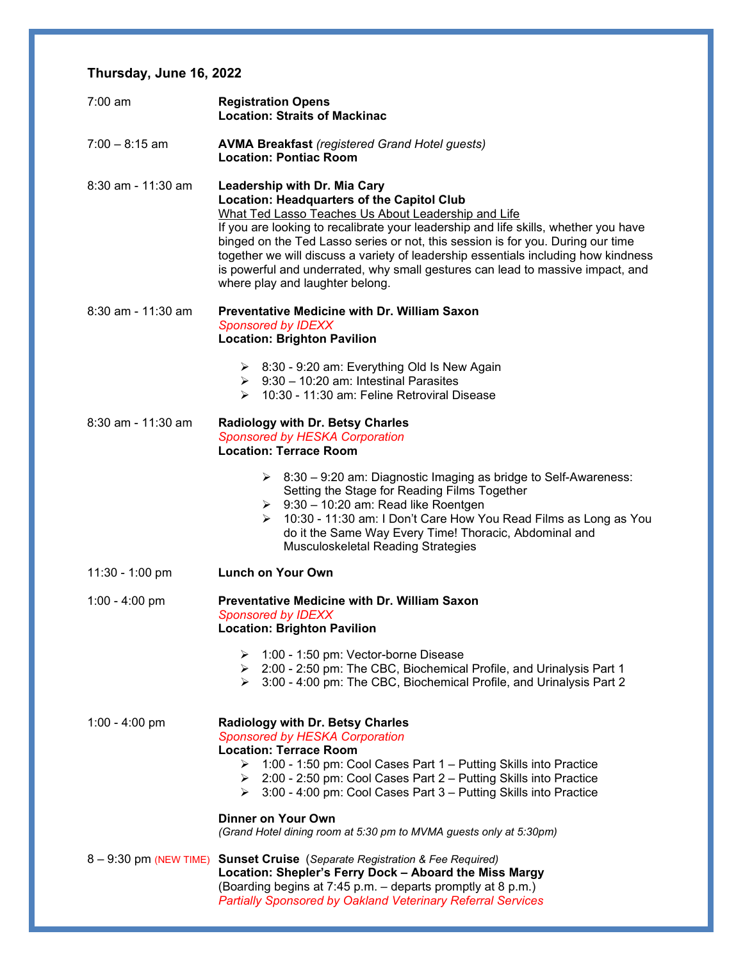## **Thursday, June 16, 2022**

| $7:00 \text{ am}$  | <b>Registration Opens</b><br><b>Location: Straits of Mackinac</b>                                                                                                                                                                                                                                                                                                                                                                                                                                                                    |
|--------------------|--------------------------------------------------------------------------------------------------------------------------------------------------------------------------------------------------------------------------------------------------------------------------------------------------------------------------------------------------------------------------------------------------------------------------------------------------------------------------------------------------------------------------------------|
| $7:00 - 8:15$ am   | <b>AVMA Breakfast (registered Grand Hotel guests)</b><br><b>Location: Pontiac Room</b>                                                                                                                                                                                                                                                                                                                                                                                                                                               |
| 8:30 am - 11:30 am | <b>Leadership with Dr. Mia Cary</b><br><b>Location: Headquarters of the Capitol Club</b><br>What Ted Lasso Teaches Us About Leadership and Life<br>If you are looking to recalibrate your leadership and life skills, whether you have<br>binged on the Ted Lasso series or not, this session is for you. During our time<br>together we will discuss a variety of leadership essentials including how kindness<br>is powerful and underrated, why small gestures can lead to massive impact, and<br>where play and laughter belong. |
| 8:30 am - 11:30 am | <b>Preventative Medicine with Dr. William Saxon</b><br><b>Sponsored by IDEXX</b><br><b>Location: Brighton Pavilion</b>                                                                                                                                                                                                                                                                                                                                                                                                               |
|                    | $\geq$ 8:30 - 9:20 am: Everything Old Is New Again<br>$\geq$ 9:30 - 10:20 am: Intestinal Parasites<br>$\geq$ 10:30 - 11:30 am: Feline Retroviral Disease                                                                                                                                                                                                                                                                                                                                                                             |
| 8:30 am - 11:30 am | <b>Radiology with Dr. Betsy Charles</b><br>Sponsored by HESKA Corporation<br><b>Location: Terrace Room</b>                                                                                                                                                                                                                                                                                                                                                                                                                           |
|                    | $\geq$ 8:30 – 9:20 am: Diagnostic Imaging as bridge to Self-Awareness:<br>Setting the Stage for Reading Films Together<br>$\geq$ 9:30 - 10:20 am: Read like Roentgen<br>10:30 - 11:30 am: I Don't Care How You Read Films as Long as You<br>do it the Same Way Every Time! Thoracic, Abdominal and<br>Musculoskeletal Reading Strategies                                                                                                                                                                                             |
| $11:30 - 1:00$ pm  | <b>Lunch on Your Own</b>                                                                                                                                                                                                                                                                                                                                                                                                                                                                                                             |
| 1:00 - 4:00 pm     | <b>Preventative Medicine with Dr. William Saxon</b><br><b>Sponsored by IDEXX</b><br><b>Location: Brighton Pavilion</b>                                                                                                                                                                                                                                                                                                                                                                                                               |
|                    | 1:00 - 1:50 pm: Vector-borne Disease<br>➤<br>▶ 2:00 - 2:50 pm: The CBC, Biochemical Profile, and Urinalysis Part 1<br>3:00 - 4:00 pm: The CBC, Biochemical Profile, and Urinalysis Part 2<br>≻                                                                                                                                                                                                                                                                                                                                       |
| 1:00 - 4:00 pm     | <b>Radiology with Dr. Betsy Charles</b><br>Sponsored by HESKA Corporation<br><b>Location: Terrace Room</b><br>1:00 - 1:50 pm: Cool Cases Part 1 - Putting Skills into Practice<br>➤<br>▶ 2:00 - 2:50 pm: Cool Cases Part 2 – Putting Skills into Practice<br>3:00 - 4:00 pm: Cool Cases Part 3 - Putting Skills into Practice<br>⋗                                                                                                                                                                                                   |
|                    | Dinner on Your Own<br>(Grand Hotel dining room at 5:30 pm to MVMA guests only at 5:30pm)                                                                                                                                                                                                                                                                                                                                                                                                                                             |
|                    | 8 - 9:30 pm (NEW TIME) Sunset Cruise (Separate Registration & Fee Required)<br>Location: Shepler's Ferry Dock - Aboard the Miss Margy<br>(Boarding begins at 7:45 p.m. – departs promptly at 8 p.m.)<br><b>Partially Sponsored by Oakland Veterinary Referral Services</b>                                                                                                                                                                                                                                                           |